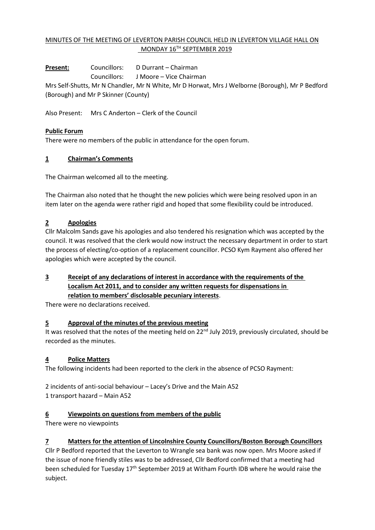## MINUTES OF THE MEETING OF LEVERTON PARISH COUNCIL HELD IN LEVERTON VILLAGE HALL ON MONDAY 16TH SEPTEMBER 2019

**Present:** Councillors: D Durrant – Chairman Councillors: J Moore – Vice Chairman Mrs Self-Shutts, Mr N Chandler, Mr N White, Mr D Horwat, Mrs J Welborne (Borough), Mr P Bedford (Borough) and Mr P Skinner (County)

Also Present: Mrs C Anderton – Clerk of the Council

### **Public Forum**

There were no members of the public in attendance for the open forum.

#### **1 Chairman's Comments**

The Chairman welcomed all to the meeting.

The Chairman also noted that he thought the new policies which were being resolved upon in an item later on the agenda were rather rigid and hoped that some flexibility could be introduced.

### **2 Apologies**

Cllr Malcolm Sands gave his apologies and also tendered his resignation which was accepted by the council. It was resolved that the clerk would now instruct the necessary department in order to start the process of electing/co-option of a replacement councillor. PCSO Kym Rayment also offered her apologies which were accepted by the council.

### **3 Receipt of any declarations of interest in accordance with the requirements of the Localism Act 2011, and to consider any written requests for dispensations in relation to members' disclosable pecuniary interests**.

There were no declarations received.

#### **5 Approval of the minutes of the previous meeting**

It was resolved that the notes of the meeting held on 22<sup>nd</sup> July 2019, previously circulated, should be recorded as the minutes.

## **4 Police Matters**

The following incidents had been reported to the clerk in the absence of PCSO Rayment:

2 incidents of anti-social behaviour – Lacey's Drive and the Main A52 1 transport hazard – Main A52

#### **6 Viewpoints on questions from members of the public**

There were no viewpoints

## **7 Matters for the attention of Lincolnshire County Councillors/Boston Borough Councillors**

Cllr P Bedford reported that the Leverton to Wrangle sea bank was now open. Mrs Moore asked if the issue of none friendly stiles was to be addressed, Cllr Bedford confirmed that a meeting had been scheduled for Tuesday 17th September 2019 at Witham Fourth IDB where he would raise the subject.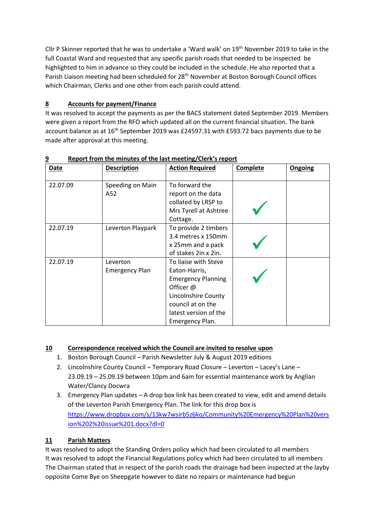Cllr P Skinner reported that he was to undertake a 'Ward walk' on 19<sup>th</sup> November 2019 to take in the full Coastal Ward and requested that any specific parish roads that needed to be inspected be highlighted to him in advance so they could be included in the schedule. He also reported that a Parish Liaison meeting had been scheduled for 28<sup>th</sup> November at Boston Borough Council offices which Chairman, Clerks and one other from each parish could attend.

# **8 Accounts for payment/Finance**

It was resolved to accept the payments as per the BACS statement dated September 2019. Members were given a report from the RFO which updated all on the current financial situation. The bank account balance as at 16<sup>th</sup> September 2019 was £24597.31 with £593.72 bacs payments due to be made after approval at this meeting.

| <b>Date</b> | <b>Description</b>                | <b>Action Required</b>                                                                                                                                                  | Complete | Ongoing |
|-------------|-----------------------------------|-------------------------------------------------------------------------------------------------------------------------------------------------------------------------|----------|---------|
| 22.07.09    | Speeding on Main<br>A52           | To forward the<br>report on the data<br>collated by LRSP to<br>Mrs Tyrell at Ashtree<br>Cottage.                                                                        |          |         |
| 22.07.19    | Leverton Playpark                 | To provide 2 timbers<br>3.4 metres x 150mm<br>x 25mm and a pack<br>of stakes 2in x 2in.                                                                                 |          |         |
| 22.07.19    | Leverton<br><b>Emergency Plan</b> | To liaise with Steve<br>Eaton-Harris,<br><b>Emergency Planning</b><br>Officer @<br>Lincolnshire County<br>council at on the<br>latest version of the<br>Emergency Plan. |          |         |

**9 Report from the minutes of the last meeting/Clerk's report**

# **10 Correspondence received which the Council are invited to resolve upon**

- 1. Boston Borough Council Parish Newsletter July & August 2019 editions
- 2. Lincolnshire County Council Temporary Road Closure Leverton Lacey's Lane 23.09.19 – 25.09.19 between 10pm and 6am for essential maintenance work by Anglian Water/Clancy Docwra
- 3. Emergency Plan updates A drop box link has been created to view, edit and amend details of the Leverton Parish Emergency Plan. The link for this drop box is [https://www.dropbox.com/s/13kw7wsirb5z6ko/Community%20Emergency%20Plan%20vers](https://www.dropbox.com/s/13kw7wsirb5z6ko/Community%20Emergency%20Plan%20version%202%20issue%201.docx?dl=0) [ion%202%20issue%201.docx?dl=0](https://www.dropbox.com/s/13kw7wsirb5z6ko/Community%20Emergency%20Plan%20version%202%20issue%201.docx?dl=0)

# **11 Parish Matters**

It was resolved to adopt the Standing Orders policy which had been circulated to all members It was resolved to adopt the Financial Regulations policy which had been circulated to all members The Chairman stated that in respect of the parish roads the drainage had been inspected at the layby opposite Come Bye on Sheepgate however to date no repairs or maintenance had begun